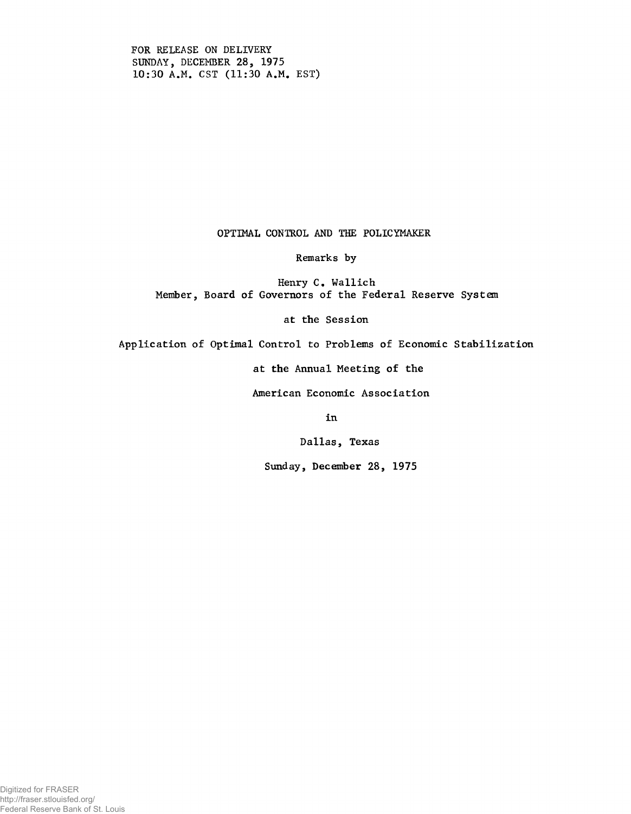FOR RELEASE ON DELIVERY SUNDAY, DECEMBER 28, 1975 10:30 A.M. CST (11:30 A.M. EST)

# OPTIMAL CONTROL AND THE POLICYMAKER

#### Remarks by

Henry C. Wallich Member, Board of Governors of the Federal Reserve System

## at the Session

Application of Optimal Control to Problems of Economic Stabilization

at the Annual Meeting of the

American Economic Association

in

Dallas, Texas

Sunday, December 28, 1975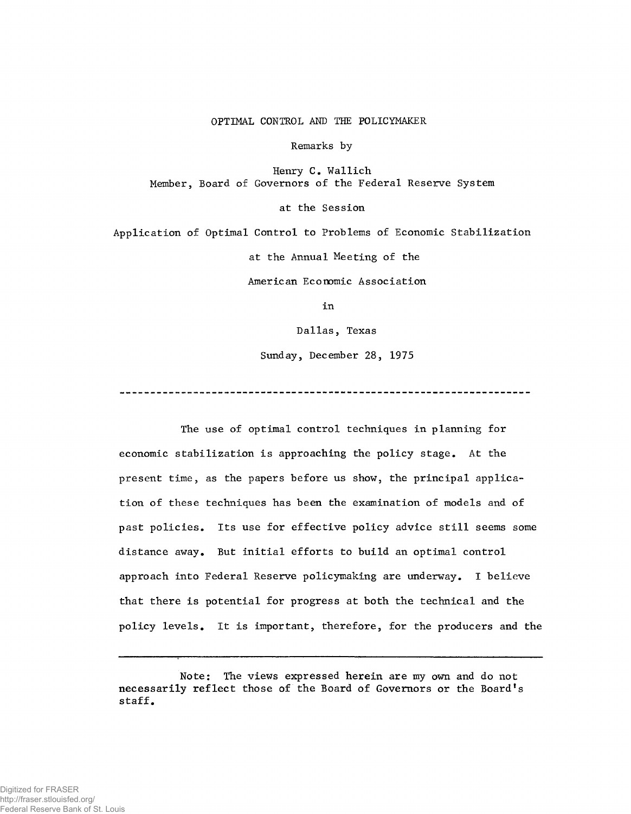### OPTIMAL CONTROL AND THE POLICYMAKER

Remarks by

Henry C. Wallich Member, Board of Governors of the Federal Reserve System

at the Session

Application of Optimal Control to Problems of Economic Stabilization at the Annual Meeting of the American Economic Association

in

Dallas, Texas

Sunday, December 28, 1975

The use of optimal control techniques in planning for economic stabilization is approaching the policy stage. At the present time, as the papers before us show, the principal application of these techniques has been the examination of models and of past policies. Its use for effective policy advice still seems some distance away. But initial efforts to build an optimal control approach into Federal Reserve policymaking are underway. I believe that there is potential for progress at both the technical and the policy levels. It is important, therefore, for the producers and the

Note: The views expressed herein are my own and do not necessarily reflect those of the Board of Governors or the Board's staff.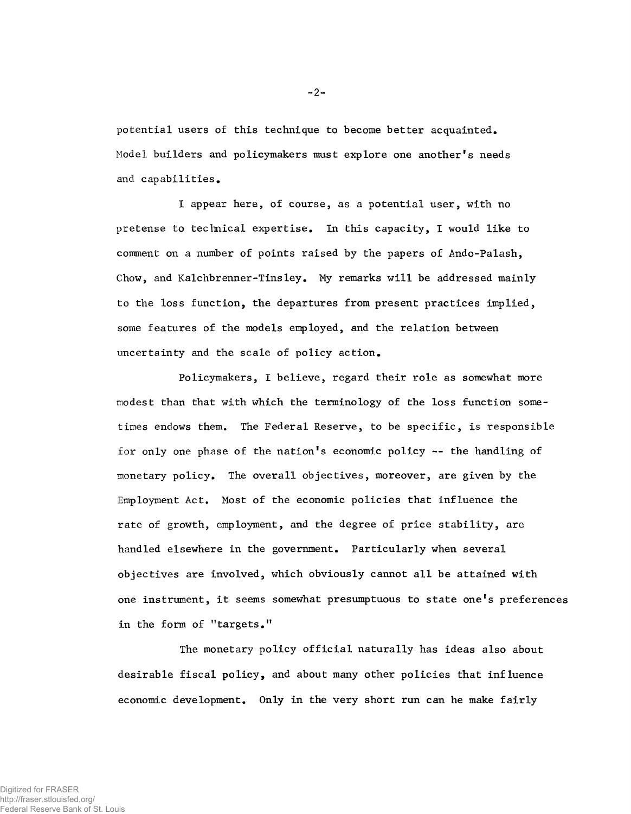potential users of this technique to become better acquainted. Model builders and policymakers must explore one another's needs and capabilities.

I appear here, of course, as a potential user, with no pretense to technical expertise. In this capacity, I would like to comment on a number of points raised by the papers of Ando-Palash, Chow, and Kalchbrenner-Tinsley. My remarks will be addressed mainly to the loss function, the departures from present practices implied, some features of the models employed, and the relation between uncertainty and the scale of policy action.

Policymakers, I believe, regard their role as somewhat more modest than that with which the terminology of the loss function sometimes endows them. The Federal Reserve, to be specific, is responsible for only one phase of the nation's economic policy  $-$  the handling of monetary policy. The overall objectives, moreover, are given by the Employment Act. Most of the economic policies that influence the rate of growth, employment, and the degree of price stability, are handled elsewhere in the government. Particularly when several objectives are involved, which obviously cannot all be attained with one instrument, it seems somewhat presumptuous to state one's preferences in the form of "targets."

The monetary policy official naturally has ideas also about desirable fiscal policy, and about many other policies that influence economic development. Only in the very short run can he make fairly

**-2 -**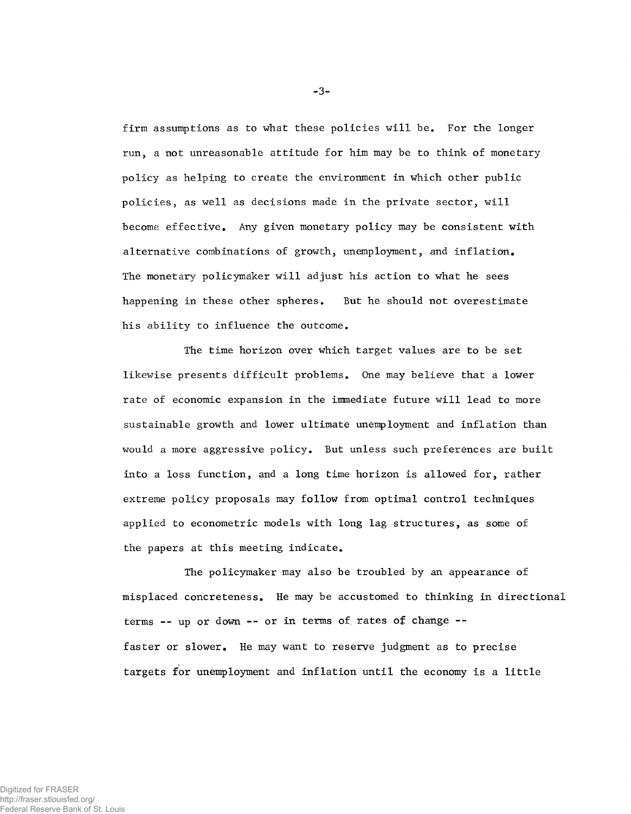firm assumptions as to what these policies will be. For the longer run, a not unreasonable attitude for him may be to think of monetary policy as helping to create the environment in which other public policies, as well as decisions made in the private sector, will become effective. Any given monetary policy may be consistent with alternative combinations of growth, unemployment, and inflation. The monetary policymaker will adjust his action to what he sees happening in these other spheres. But he should not overestimate his ability to influence the outcome.

The time horizon over which target values are to be set likewise presents difficult problems. One may believe that a lower rate of economic expansion in the immediate future will lead to more sustainable growth and lower ultimate unemployment and inflation than would a more aggressive policy. But unless such preferences are built into a loss function, and a long time horizon is allowed for, rather extreme policy proposals may follow from optimal control techniques applied to econometric models with long lag structures, as some of the papers at this meeting indicate.

The policymaker may also be troubled by an appearance of misplaced concreteness. He may be accustomed to thinking in directional terms -- up or down -- or in terms of rates of change -faster or slower. He may want to reserve judgment as to precise targets for unemployment and inflation until the economy is a little

-3-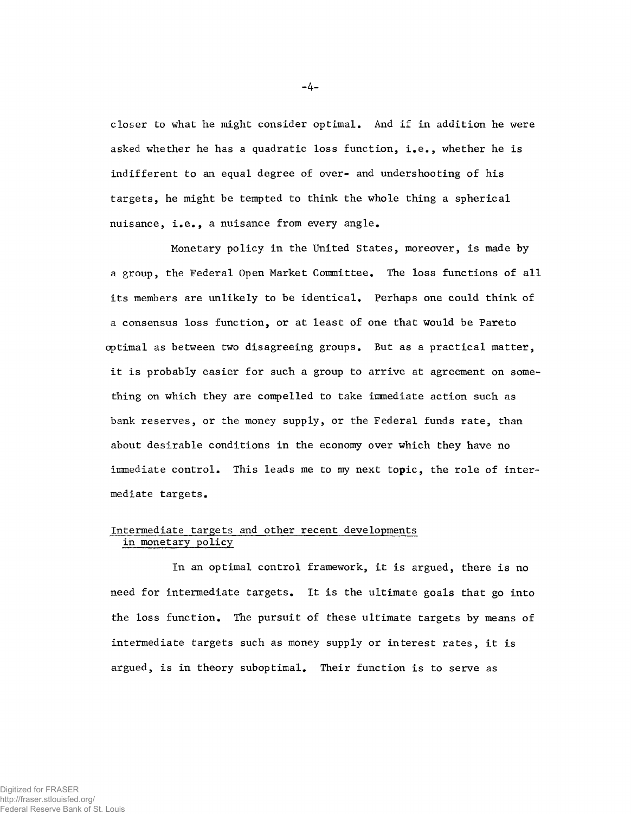closer to what he might consider optimal. And if in addition he were asked whether he has a quadratic loss function, i.e., whether he is indifferent to an equal degree of over- and undershooting of his targets, he might be tempted to think the whole thing a spherical nuisance, i.e., a nuisance from every angle.

Monetary policy in the United States, moreover, is made by a group, the Federal Open Market Committee. The loss functions of all its members are unlikely to be identical. Perhaps one could think of a consensus loss function, or at least of one that would be Pareto optimal as between two disagreeing groups. But as a practical matter, it is probably easier for such a group to arrive at agreement on something on which they are compelled to take immediate action such as bank reserves, or the money supply, or the Federal funds rate, than about desirable conditions in the economy over which they have no immediate control. This leads me to my next topic, the role of intermediate targets.

## Intermediate targets and other recent developments in monetary policy

In an optimal control framework, it is argued, there is no need for intermediate targets. It is the ultimate goals that go into the loss function. The pursuit of these ultimate targets by means of intermediate targets such as money supply or interest rates, it is argued, is in theory suboptimal. Their function is to serve as

-4-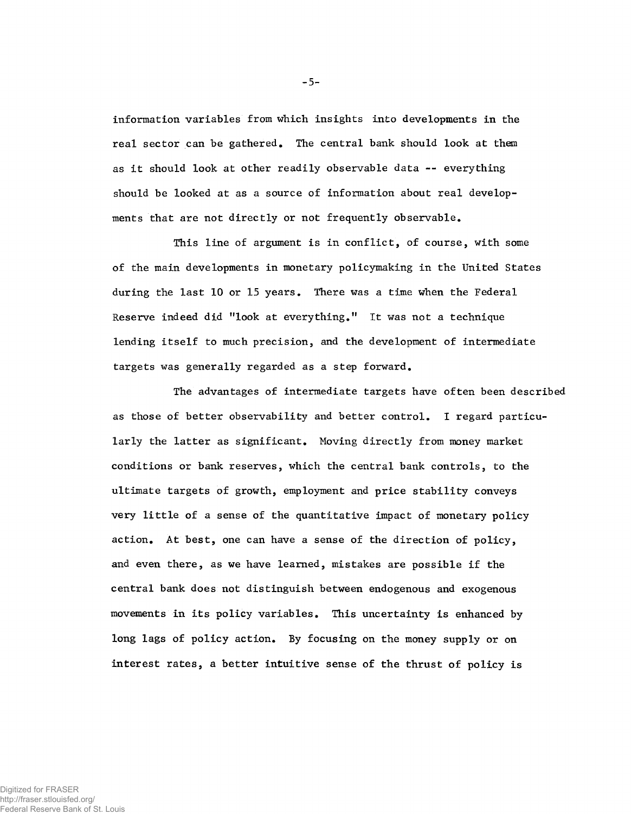information variables from which insights into developments in the real sector can be gathered. The central bank should look at them as it should look at other readily observable data — everything should be looked at as a source of information about real developments that are not directly or not frequently observable.

This line of argument is in conflict, of course, with some of the main developments in monetary policymaking in the United States during the last 10 or 15 years. There was a time when the Federal Reserve indeed did "look at everything." It was not a technique lending itself to much precision, and the development of intermediate targets was generally regarded as a step forward.

The advantages of intermediate targets have often been described as those of better observability and better control. I regard particularly the latter as significant. Moving directly from money market conditions or bank reserves, which the central bank controls, to the ultimate targets of growth, employment and price stability conveys very little of a sense of the quantitative impact of monetary policy action. At best, one can have a sense of the direction of policy, and even there, as we have learned, mistakes are possible if the central bank does not distinguish between endogenous and exogenous movements in its policy variables. This uncertainty is enhanced by long lags of policy action. By focusing on the money supply or on interest rates, a better intuitive sense of the thrust of policy is

-5-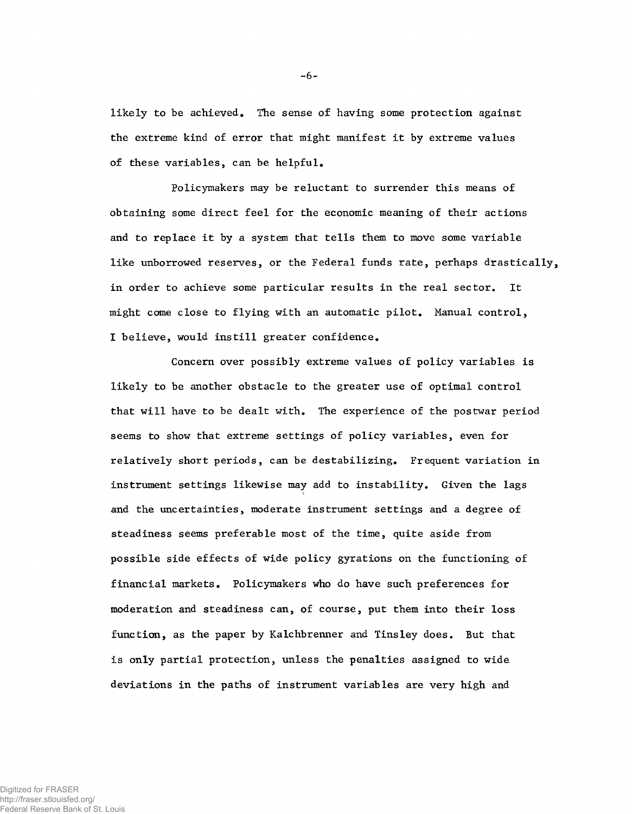likely to be achieved. The sense of having some protection against the extreme kind of error that might manifest it by extreme values of these variables, can be helpful.

Policymakers may be reluctant to surrender this means of obtaining some direct feel for the economic meaning of their actions and to replace it by a system that tells them to move some variable like unborrowed reserves, or the Federal funds rate, perhaps drastically, in order to achieve some particular results in the real sector. It might come close to flying with an automatic pilot. Manual control, I believe, would instill greater confidence.

Concern over possibly extreme values of policy variables is likely to be another obstacle to the greater use of optimal control that will have to be dealt with. The experience of the postwar period seems to show that extreme settings of policy variables, even for relatively short periods, can be destabilizing. Frequent variation in instrument settings likewise may add to instability. Given the lags and the uncertainties, moderate instrument settings and a degree of steadiness seems preferable most of the time, quite aside from possible side effects of wide policy gyrations on the functioning of financial markets. Policymakers who do have such preferences for moderation and steadiness can, of course, put them into their loss function, as the paper by Kalchbrenner and Tinsley does. But that is only partial protection, unless the penalties assigned to wide deviations in the paths of instrument variables are very high and

**-6 -**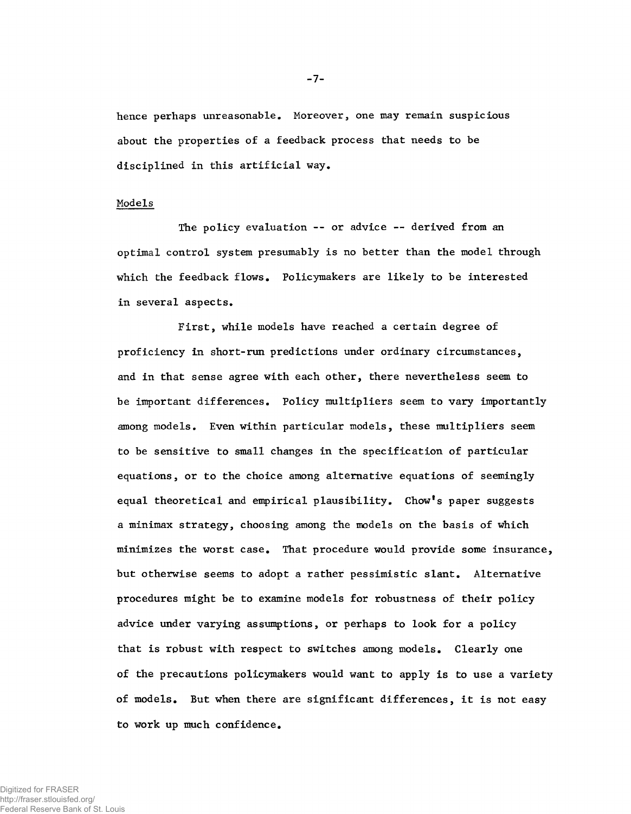hence perhaps unreasonable. Moreover, one may remain suspicious about the properties of a feedback process that needs to be disciplined in this artificial way.

#### Models

The policy evaluation -- or advice -- derived from an optimal control system presumably is no better than the model through which the feedback flows. Policymakers are likely to be interested in several aspects.

First, while models have reached a certain degree of proficiency in short-run predictions under ordinary circumstances, and in that sense agree with each other, there nevertheless seem to be important differences. Policy multipliers seem to vary importantly among models. Even within particular models, these multipliers seem to be sensitive to small changes in the specification of particular equations, or to the choice among alternative equations of seemingly equal theoretical and empirical plausibility. Chow\*s paper suggests a minimax strategy, choosing among the models on the basis of which minimizes the worst case. That procedure would provide some insurance, but otherwise seems to adopt a rather pessimistic slant. Alternative procedures might be to examine models for robustness of their policy advice under varying assumptions, or perhaps to look for a policy that is rpbust with respect to switches among models. Clearly one of the precautions policymakers would want to apply is to use a variety of models. But when there are significant differences, it is not easy to work up much confidence.

Digitized for FRASER http://fraser.stlouisfed.org/ Federal Reserve Bank of St. Louis -7-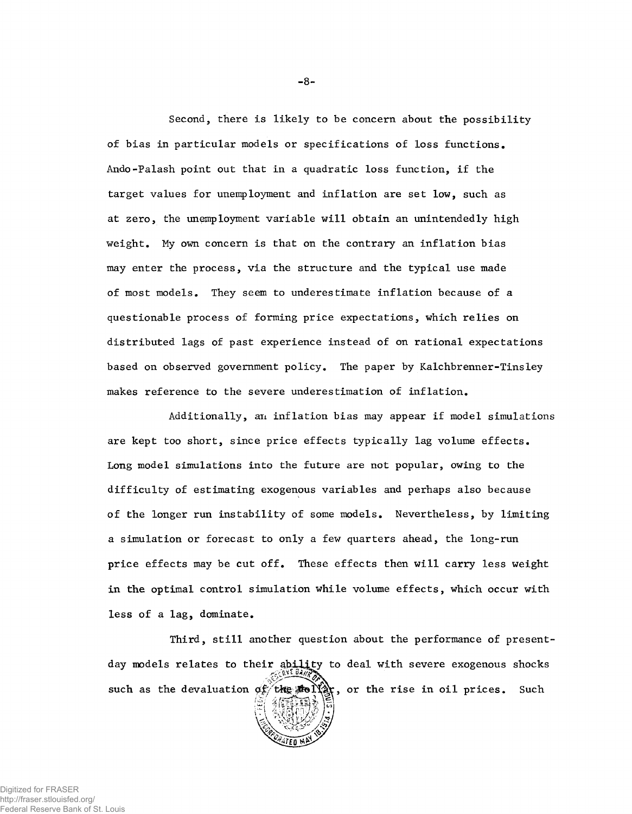Second, there is likely to be concern about the possibility of bias in particular models or specifications of loss functions. Ando-Palash point out that in a quadratic loss function, if the target values for unemployment and inflation are set low, such as at zero, the unemployment variable will obtain an unintendedly high weight. My own concern is that on the contrary an inflation bias may enter the process, via the structure and the typical use made of most models. They seem to underestimate inflation because of a questionable process of forming price expectations, which relies on distributed lags of past experience instead of on rational expectations based on observed government policy. The paper by Kalchbrenner-Tinsley makes reference to the severe underestimation of inflation.

Additionally, an inflation bias may appear if model simulations are kept too short, since price effects typically lag volume effects. Long model simulations into the future are not popular, owing to the difficulty of estimating exogenous variables and perhaps also because of the longer run instability of some models. Nevertheless, by limiting a simulation or forecast to only a few quarters ahead, the long-run price effects may be cut off. These effects then will carry less weight in the optimal control simulation while volume effects, which occur with less of a lag, dominate.

Third, still another question about the performance of presentday models relates to their ability to deal with severe exogenous shocks such as the devaluation  $\sigma_F$  the  $\mathbb{R}$  or the rise in oil prices. Such

-8-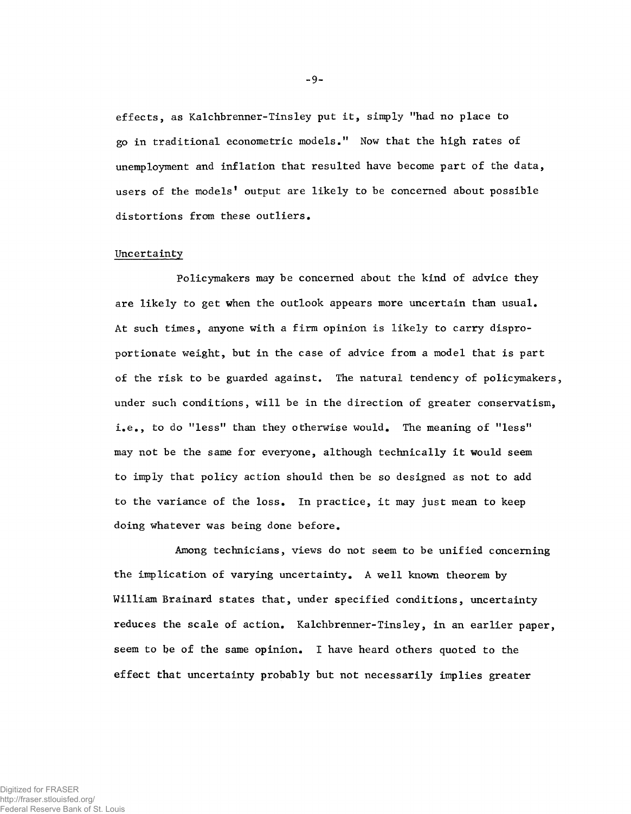effects, as Kalchbrenner-Tinsley put it, simply "had no place to go in traditional econometric models," Now that the high rates of unemployment and inflation that resulted have become part of the data, users of the models' output are likely to be concerned about possible distortions from these outliers.

## Uncertainty

Policymakers may be concerned about the kind of advice they are likely to get when the outlook appears more uncertain than usual. At such times, anyone with a firm opinion is likely to carry disproportionate weight, but in the case of advice from a model that is part of the risk to be guarded against. The natural tendency of policymakers, under such conditions, will be in the direction of greater conservatism, i,e,, to do "less" than they otherwise would. The meaning of "less" may not be the same for everyone, although technically it would seem to imply that policy action should then be so designed as not to add to the variance of the loss. In practice, it may just mean to keep doing whatever was being done before.

Among technicians, views do not seem to be unified concerning the implication of varying uncertainty, A well known theorem by William Brainard states that, under specified conditions, uncertainty reduces the scale of action. Kalchbrenner-Tinsley, in an earlier paper, seem to be of the same opinion. I have heard others quoted to the effect that uncertainty probably but not necessarily implies greater

-9-